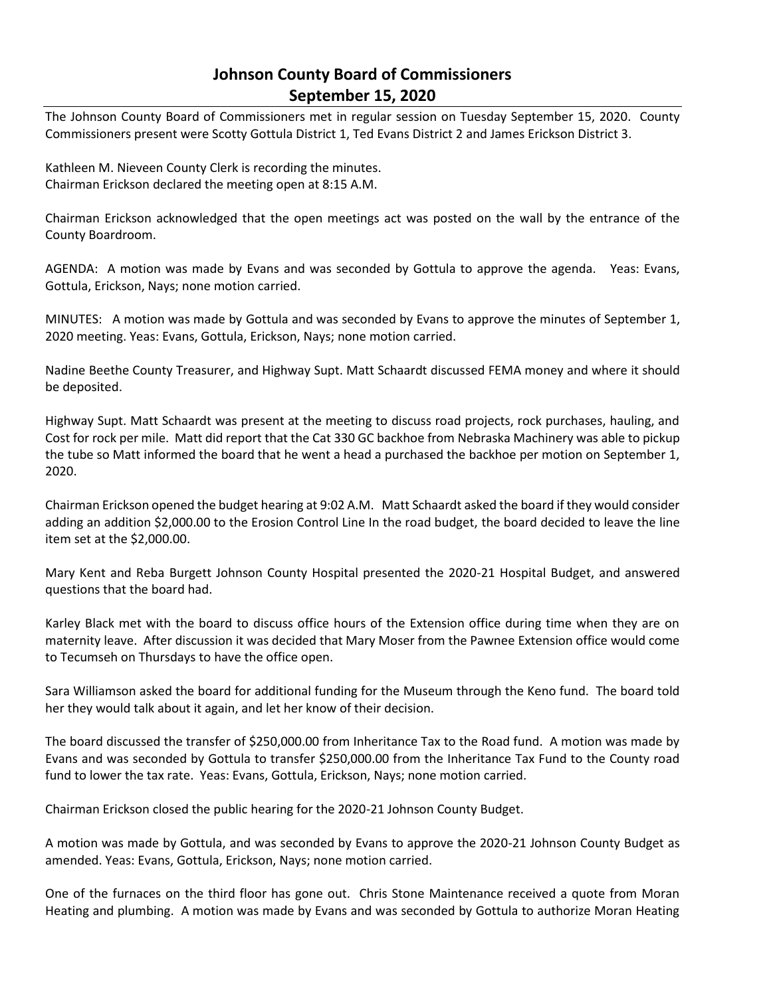# **Johnson County Board of Commissioners September 15, 2020**

The Johnson County Board of Commissioners met in regular session on Tuesday September 15, 2020. County Commissioners present were Scotty Gottula District 1, Ted Evans District 2 and James Erickson District 3.

Kathleen M. Nieveen County Clerk is recording the minutes. Chairman Erickson declared the meeting open at 8:15 A.M.

Chairman Erickson acknowledged that the open meetings act was posted on the wall by the entrance of the County Boardroom.

AGENDA: A motion was made by Evans and was seconded by Gottula to approve the agenda. Yeas: Evans, Gottula, Erickson, Nays; none motion carried.

MINUTES: A motion was made by Gottula and was seconded by Evans to approve the minutes of September 1, 2020 meeting. Yeas: Evans, Gottula, Erickson, Nays; none motion carried.

Nadine Beethe County Treasurer, and Highway Supt. Matt Schaardt discussed FEMA money and where it should be deposited.

Highway Supt. Matt Schaardt was present at the meeting to discuss road projects, rock purchases, hauling, and Cost for rock per mile. Matt did report that the Cat 330 GC backhoe from Nebraska Machinery was able to pickup the tube so Matt informed the board that he went a head a purchased the backhoe per motion on September 1, 2020.

Chairman Erickson opened the budget hearing at 9:02 A.M. Matt Schaardt asked the board if they would consider adding an addition \$2,000.00 to the Erosion Control Line In the road budget, the board decided to leave the line item set at the \$2,000.00.

Mary Kent and Reba Burgett Johnson County Hospital presented the 2020-21 Hospital Budget, and answered questions that the board had.

Karley Black met with the board to discuss office hours of the Extension office during time when they are on maternity leave. After discussion it was decided that Mary Moser from the Pawnee Extension office would come to Tecumseh on Thursdays to have the office open.

Sara Williamson asked the board for additional funding for the Museum through the Keno fund. The board told her they would talk about it again, and let her know of their decision.

The board discussed the transfer of \$250,000.00 from Inheritance Tax to the Road fund. A motion was made by Evans and was seconded by Gottula to transfer \$250,000.00 from the Inheritance Tax Fund to the County road fund to lower the tax rate. Yeas: Evans, Gottula, Erickson, Nays; none motion carried.

Chairman Erickson closed the public hearing for the 2020-21 Johnson County Budget.

A motion was made by Gottula, and was seconded by Evans to approve the 2020-21 Johnson County Budget as amended. Yeas: Evans, Gottula, Erickson, Nays; none motion carried.

One of the furnaces on the third floor has gone out. Chris Stone Maintenance received a quote from Moran Heating and plumbing. A motion was made by Evans and was seconded by Gottula to authorize Moran Heating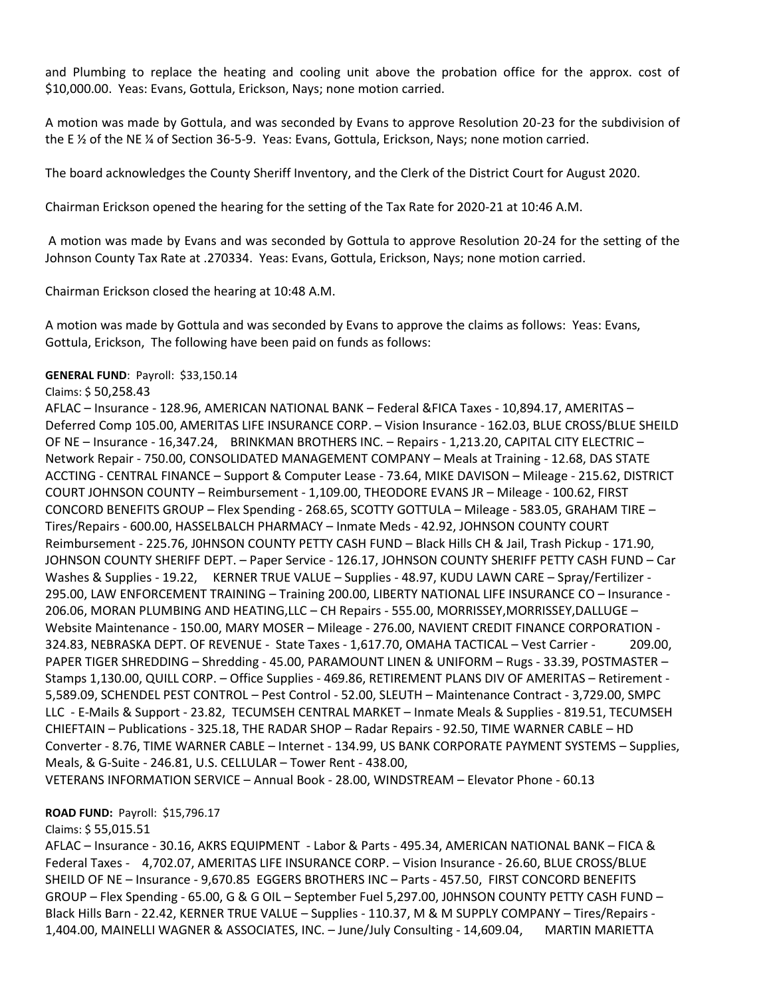and Plumbing to replace the heating and cooling unit above the probation office for the approx. cost of \$10,000.00. Yeas: Evans, Gottula, Erickson, Nays; none motion carried.

A motion was made by Gottula, and was seconded by Evans to approve Resolution 20-23 for the subdivision of the E ½ of the NE ¼ of Section 36-5-9. Yeas: Evans, Gottula, Erickson, Nays; none motion carried.

The board acknowledges the County Sheriff Inventory, and the Clerk of the District Court for August 2020.

Chairman Erickson opened the hearing for the setting of the Tax Rate for 2020-21 at 10:46 A.M.

A motion was made by Evans and was seconded by Gottula to approve Resolution 20-24 for the setting of the Johnson County Tax Rate at .270334. Yeas: Evans, Gottula, Erickson, Nays; none motion carried.

Chairman Erickson closed the hearing at 10:48 A.M.

A motion was made by Gottula and was seconded by Evans to approve the claims as follows: Yeas: Evans, Gottula, Erickson, The following have been paid on funds as follows:

#### **GENERAL FUND**: Payroll: \$33,150.14

#### Claims: \$ 50,258.43

AFLAC – Insurance - 128.96, AMERICAN NATIONAL BANK – Federal &FICA Taxes - 10,894.17, AMERITAS – Deferred Comp 105.00, AMERITAS LIFE INSURANCE CORP. – Vision Insurance - 162.03, BLUE CROSS/BLUE SHEILD OF NE – Insurance - 16,347.24, BRINKMAN BROTHERS INC. – Repairs - 1,213.20, CAPITAL CITY ELECTRIC – Network Repair - 750.00, CONSOLIDATED MANAGEMENT COMPANY – Meals at Training - 12.68, DAS STATE ACCTING - CENTRAL FINANCE – Support & Computer Lease - 73.64, MIKE DAVISON – Mileage - 215.62, DISTRICT COURT JOHNSON COUNTY – Reimbursement - 1,109.00, THEODORE EVANS JR – Mileage - 100.62, FIRST CONCORD BENEFITS GROUP – Flex Spending - 268.65, SCOTTY GOTTULA – Mileage - 583.05, GRAHAM TIRE – Tires/Repairs - 600.00, HASSELBALCH PHARMACY – Inmate Meds - 42.92, JOHNSON COUNTY COURT Reimbursement - 225.76, J0HNSON COUNTY PETTY CASH FUND – Black Hills CH & Jail, Trash Pickup - 171.90, JOHNSON COUNTY SHERIFF DEPT. – Paper Service - 126.17, JOHNSON COUNTY SHERIFF PETTY CASH FUND – Car Washes & Supplies - 19.22, KERNER TRUE VALUE – Supplies - 48.97, KUDU LAWN CARE – Spray/Fertilizer -295.00, LAW ENFORCEMENT TRAINING – Training 200.00, LIBERTY NATIONAL LIFE INSURANCE CO – Insurance - 206.06, MORAN PLUMBING AND HEATING,LLC – CH Repairs - 555.00, MORRISSEY,MORRISSEY,DALLUGE – Website Maintenance - 150.00, MARY MOSER – Mileage - 276.00, NAVIENT CREDIT FINANCE CORPORATION - 324.83, NEBRASKA DEPT. OF REVENUE - State Taxes - 1,617.70, OMAHA TACTICAL – Vest Carrier - 209.00, PAPER TIGER SHREDDING – Shredding - 45.00, PARAMOUNT LINEN & UNIFORM – Rugs - 33.39, POSTMASTER – Stamps 1,130.00, QUILL CORP. – Office Supplies - 469.86, RETIREMENT PLANS DIV OF AMERITAS – Retirement - 5,589.09, SCHENDEL PEST CONTROL – Pest Control - 52.00, SLEUTH – Maintenance Contract - 3,729.00, SMPC LLC - E-Mails & Support - 23.82, TECUMSEH CENTRAL MARKET – Inmate Meals & Supplies - 819.51, TECUMSEH CHIEFTAIN – Publications - 325.18, THE RADAR SHOP – Radar Repairs - 92.50, TIME WARNER CABLE – HD Converter - 8.76, TIME WARNER CABLE – Internet - 134.99, US BANK CORPORATE PAYMENT SYSTEMS – Supplies, Meals, & G-Suite - 246.81, U.S. CELLULAR – Tower Rent - 438.00, VETERANS INFORMATION SERVICE – Annual Book - 28.00, WINDSTREAM – Elevator Phone - 60.13

#### **ROAD FUND:** Payroll: \$15,796.17

#### Claims: \$ 55,015.51

AFLAC – Insurance - 30.16, AKRS EQUIPMENT - Labor & Parts - 495.34, AMERICAN NATIONAL BANK – FICA & Federal Taxes - 4,702.07, AMERITAS LIFE INSURANCE CORP. – Vision Insurance - 26.60, BLUE CROSS/BLUE SHEILD OF NE – Insurance - 9,670.85 EGGERS BROTHERS INC – Parts - 457.50, FIRST CONCORD BENEFITS GROUP – Flex Spending - 65.00, G & G OIL – September Fuel 5,297.00, J0HNSON COUNTY PETTY CASH FUND – Black Hills Barn - 22.42, KERNER TRUE VALUE – Supplies - 110.37, M & M SUPPLY COMPANY – Tires/Repairs - 1,404.00, MAINELLI WAGNER & ASSOCIATES, INC. – June/July Consulting - 14,609.04, MARTIN MARIETTA